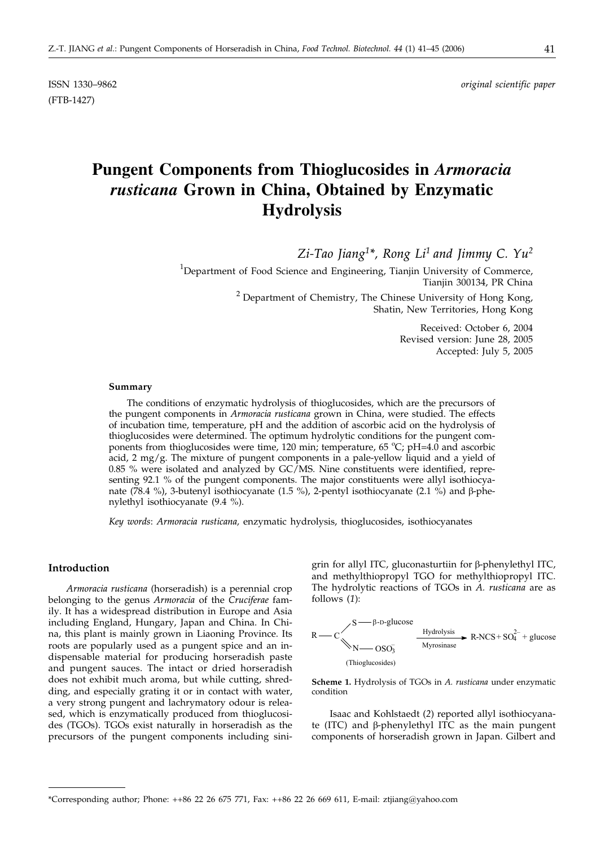(FTB-1427)

ISSN 1330–9862 *original scientific paper*

# **Pungent Components from Thioglucosides in** *Armoracia rusticana* **Grown in China, Obtained by Enzymatic Hydrolysis**

*Zi-Tao Jiang1\*, Rong Li1 and Jimmy C. Yu2*

 $^{1}$ Department of Food Science and Engineering, Tianjin University of Commerce, Tianjin 300134, PR China  $2$  Department of Chemistry, The Chinese University of Hong Kong, Shatin, New Territories, Hong Kong

> Received: October 6, 2004 Revised version: June 28, 2005 Accepted: July 5, 2005

#### **Summary**

The conditions of enzymatic hydrolysis of thioglucosides, which are the precursors of the pungent components in *Armoracia rusticana* grown in China, were studied. The effects of incubation time, temperature, pH and the addition of ascorbic acid on the hydrolysis of thioglucosides were determined. The optimum hydrolytic conditions for the pungent components from thioglucosides were time, 120 min; temperature, 65 °C; pH=4.0 and ascorbic acid, 2 mg/g. The mixture of pungent components in a pale-yellow liquid and a yield of 0.85 % were isolated and analyzed by  $GC/MS$ . Nine constituents were identified, representing 92.1 % of the pungent components. The major constituents were allyl isothiocyanate (78.4 %), 3-butenyl isothiocyanate (1.5 %), 2-pentyl isothiocyanate (2.1 %) and  $\beta$ -phenylethyl isothiocyanate (9.4 %).

*Key words*: *Armoracia rusticana,* enzymatic hydrolysis, thioglucosides, isothiocyanates

#### **Introduction**

*Armoracia rusticana* (horseradish) is a perennial crop belonging to the genus *Armoracia* of the *Cruciferae* family. It has a widespread distribution in Europe and Asia including England, Hungary, Japan and China. In China, this plant is mainly grown in Liaoning Province. Its roots are popularly used as a pungent spice and an indispensable material for producing horseradish paste and pungent sauces. The intact or dried horseradish does not exhibit much aroma, but while cutting, shredding, and especially grating it or in contact with water, a very strong pungent and lachrymatory odour is released, which is enzymatically produced from thioglucosides (TGOs). TGOs exist naturally in horseradish as the precursors of the pungent components including sinigrin for allyl ITC, gluconasturtiin for  $\beta$ -phenylethyl ITC, and methylthiopropyl TGO for methylthiopropyl ITC. The hydrolytic reactions of TGOs in *A. rusticana* are as follows (*1*):



**Scheme 1.** Hydrolysis of TGOs in *A. rusticana* under enzymatic condition

Isaac and Kohlstaedt (*2*) reported allyl isothiocyanate (ITC) and  $\beta$ -phenylethyl ITC as the main pungent components of horseradish grown in Japan. Gilbert and

<sup>\*</sup>Corresponding author; Phone:  $++86$  22 26 675 771, Fax:  $++86$  22 26 669 611, E-mail: ztjiang@yahoo.com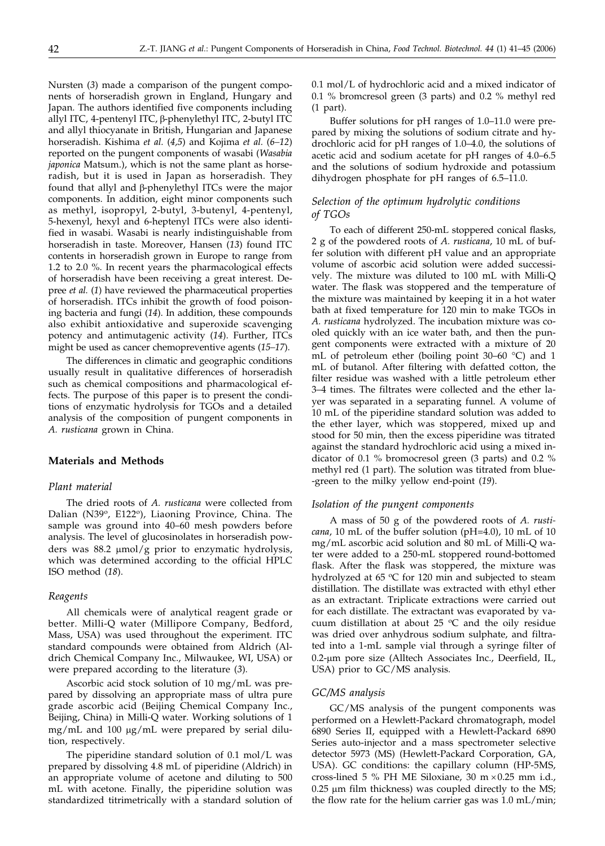Nursten (*3*) made a comparison of the pungent components of horseradish grown in England, Hungary and Japan. The authors identified five components including allyl ITC, 4-pentenyl ITC, β-phenylethyl ITC, 2-butyl ITC and allyl thiocyanate in British, Hungarian and Japanese horseradish. Kishima *et al.* (*4,5*) and Kojima *et al.* (*6–12*) reported on the pungent components of wasabi (*Wasabia japonica* Matsum.), which is not the same plant as horseradish, but it is used in Japan as horseradish. They found that allyl and  $\beta$ -phenylethyl ITCs were the major components. In addition, eight minor components such as methyl, isopropyl, 2-butyl, 3-butenyl, 4-pentenyl, 5-hexenyl, hexyl and 6-heptenyl ITCs were also identified in wasabi. Wasabi is nearly indistinguishable from horseradish in taste. Moreover, Hansen (*13*) found ITC contents in horseradish grown in Europe to range from 1.2 to 2.0 %. In recent years the pharmacological effects of horseradish have been receiving a great interest. Depree *et al.* (*1*) have reviewed the pharmaceutical properties of horseradish. ITCs inhibit the growth of food poisoning bacteria and fungi (*14*). In addition, these compounds also exhibit antioxidative and superoxide scavenging potency and antimutagenic activity (*14*). Further, ITCs might be used as cancer chemopreventive agents (*15–17*).

The differences in climatic and geographic conditions usually result in qualitative differences of horseradish such as chemical compositions and pharmacological effects. The purpose of this paper is to present the conditions of enzymatic hydrolysis for TGOs and a detailed analysis of the composition of pungent components in *A. rusticana* grown in China.

# **Materials and Methods**

# *Plant material*

The dried roots of *A. rusticana* were collected from Dalian (N39°, E122°), Liaoning Province, China. The sample was ground into 40–60 mesh powders before analysis. The level of glucosinolates in horseradish powders was 88.2  $\mu$ mol/g prior to enzymatic hydrolysis, which was determined according to the official HPLC ISO method (*18*).

#### *Reagents*

All chemicals were of analytical reagent grade or better. Milli-Q water (Millipore Company, Bedford, Mass, USA) was used throughout the experiment. ITC standard compounds were obtained from Aldrich (Aldrich Chemical Company Inc., Milwaukee, WI, USA) or were prepared according to the literature (*3*).

Ascorbic acid stock solution of 10 mg/mL was prepared by dissolving an appropriate mass of ultra pure grade ascorbic acid (Beijing Chemical Company Inc., Beijing, China) in Milli-Q water. Working solutions of 1 mg/mL and 100 µg/mL were prepared by serial dilution, respectively.

The piperidine standard solution of 0.1 mol/L was prepared by dissolving 4.8 mL of piperidine (Aldrich) in an appropriate volume of acetone and diluting to 500 mL with acetone. Finally, the piperidine solution was standardized titrimetrically with a standard solution of 0.1 mol/L of hydrochloric acid and a mixed indicator of 0.1 % bromcresol green (3 parts) and 0.2 % methyl red (1 part).

Buffer solutions for pH ranges of 1.0–11.0 were prepared by mixing the solutions of sodium citrate and hydrochloric acid for pH ranges of 1.0–4.0, the solutions of acetic acid and sodium acetate for pH ranges of 4.0–6.5 and the solutions of sodium hydroxide and potassium dihydrogen phosphate for pH ranges of 6.5–11.0.

# *Selection of the optimum hydrolytic conditions of TGOs*

To each of different 250-mL stoppered conical flasks, 2 g of the powdered roots of *A. rusticana*, 10 mL of buffer solution with different pH value and an appropriate volume of ascorbic acid solution were added successively. The mixture was diluted to 100 mL with Milli-Q water. The flask was stoppered and the temperature of the mixture was maintained by keeping it in a hot water bath at fixed temperature for 120 min to make TGOs in *A. rusticana* hydrolyzed. The incubation mixture was cooled quickly with an ice water bath, and then the pungent components were extracted with a mixture of 20 mL of petroleum ether (boiling point 30–60 °C) and 1 mL of butanol. After filtering with defatted cotton, the filter residue was washed with a little petroleum ether 3–4 times. The filtrates were collected and the ether layer was separated in a separating funnel. A volume of 10 mL of the piperidine standard solution was added to the ether layer, which was stoppered, mixed up and stood for 50 min, then the excess piperidine was titrated against the standard hydrochloric acid using a mixed indicator of 0.1 % bromocresol green (3 parts) and 0.2 % methyl red (1 part). The solution was titrated from blue- -green to the milky yellow end-point (*19*).

## *Isolation of the pungent components*

A mass of 50 g of the powdered roots of *A. rusticana*, 10 mL of the buffer solution (pH=4.0), 10 mL of 10 mg/mL ascorbic acid solution and 80 mL of Milli-Q water were added to a 250-mL stoppered round-bottomed flask. After the flask was stoppered, the mixture was hydrolyzed at 65  $\degree$ C for 120 min and subjected to steam distillation. The distillate was extracted with ethyl ether as an extractant. Triplicate extractions were carried out for each distillate. The extractant was evaporated by vacuum distillation at about 25  $\degree$ C and the oily residue was dried over anhydrous sodium sulphate, and filtrated into a 1-mL sample vial through a syringe filter of 0.2-µm pore size (Alltech Associates Inc., Deerfield, IL, USA) prior to GC/MS analysis.

#### *GC/MS analysis*

GC/MS analysis of the pungent components was performed on a Hewlett-Packard chromatograph, model 6890 Series II, equipped with a Hewlett-Packard 6890 Series auto-injector and a mass spectrometer selective detector 5973 (MS) (Hewlett-Packard Corporation, GA, USA). GC conditions: the capillary column (HP-5MS, cross-lined 5 % PH ME Siloxiane, 30 m  $\times$  0.25 mm i.d.,  $0.25$   $\mu$ m film thickness) was coupled directly to the MS; the flow rate for the helium carrier gas was 1.0 mL/min;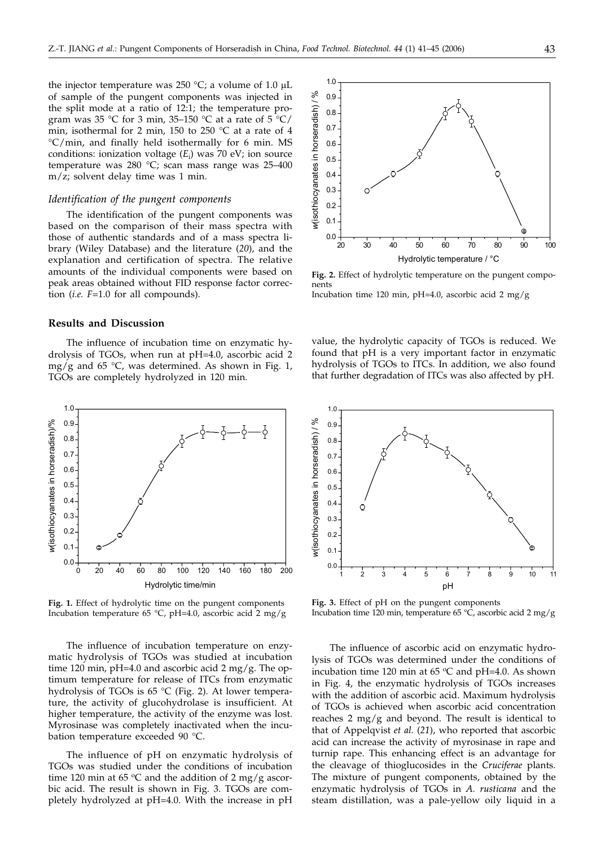the injector temperature was 250  $^{\circ}$ C; a volume of 1.0 µL of sample of the pungent components was injected in the split mode at a ratio of 12:1; the temperature program was 35 °C for 3 min, 35–150 °C at a rate of 5 °C/ min, isothermal for 2 min, 150 to 250 °C at a rate of 4 °C/min, and finally held isothermally for 6 min. MS conditions: ionization voltage (*E*<sup>i</sup> ) was 70 eV; ion source temperature was 280 °C; scan mass range was 25–400 m/z; solvent delay time was 1 min.

#### *Identification of the pungent components*

The identification of the pungent components was based on the comparison of their mass spectra with those of authentic standards and of a mass spectra library (Wiley Database) and the literature (*20*), and the explanation and certification of spectra. The relative amounts of the individual components were based on peak areas obtained without FID response factor correction (*i.e. F*=1.0 for all compounds).

### **Results and Discussion**

The influence of incubation time on enzymatic hydrolysis of TGOs, when run at pH=4.0, ascorbic acid 2 mg/g and  $65 \text{ °C}$ , was determined. As shown in Fig. 1, TGOs are completely hydrolyzed in 120 min.



**Fig. 1.** Effect of hydrolytic time on the pungent components Incubation temperature 65 °C, pH=4.0, ascorbic acid 2 mg/g

The influence of incubation temperature on enzymatic hydrolysis of TGOs was studied at incubation time 120 min, pH=4.0 and ascorbic acid 2 mg/g. The optimum temperature for release of ITCs from enzymatic hydrolysis of TGOs is 65 °C (Fig. 2). At lower temperature, the activity of glucohydrolase is insufficient. At higher temperature, the activity of the enzyme was lost. Myrosinase was completely inactivated when the incubation temperature exceeded 90 °C.

The influence of pH on enzymatic hydrolysis of TGOs was studied under the conditions of incubation time 120 min at 65  $\degree$ C and the addition of 2 mg/g ascorbic acid. The result is shown in Fig. 3. TGOs are completely hydrolyzed at pH=4.0. With the increase in pH



**Fig. 2.** Effect of hydrolytic temperature on the pungent components

Incubation time 120 min, pH=4.0, ascorbic acid 2 mg/g

value, the hydrolytic capacity of TGOs is reduced. We found that pH is a very important factor in enzymatic hydrolysis of TGOs to ITCs. In addition, we also found that further degradation of ITCs was also affected by pH.



**Fig. 3.** Effect of pH on the pungent components Incubation time 120 min, temperature 65 °C, ascorbic acid 2 mg/g

The influence of ascorbic acid on enzymatic hydrolysis of TGOs was determined under the conditions of incubation time 120 min at 65  $\degree$ C and pH=4.0. As shown in Fig. 4, the enzymatic hydrolysis of TGOs increases with the addition of ascorbic acid. Maximum hydrolysis of TGOs is achieved when ascorbic acid concentration reaches  $2 \text{ mg/g}$  and beyond. The result is identical to that of Appelqvist *et al.* (*21*), who reported that ascorbic acid can increase the activity of myrosinase in rape and turnip rape. This enhancing effect is an advantage for the cleavage of thioglucosides in the *Cruciferae* plants. The mixture of pungent components, obtained by the enzymatic hydrolysis of TGOs in *A. rusticana* and the steam distillation, was a pale-yellow oily liquid in a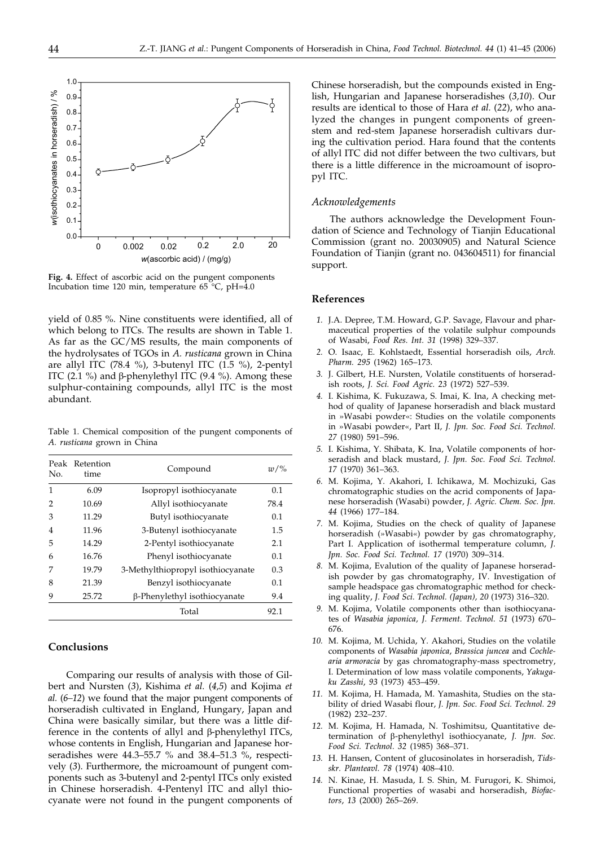

**Fig. 4.** Effect of ascorbic acid on the pungent components Incubation time 120 min, temperature 65 °C, pH=4.0

yield of 0.85 %. Nine constituents were identified, all of which belong to ITCs. The results are shown in Table 1. As far as the GC/MS results, the main components of the hydrolysates of TGOs in *A. rusticana* grown in China are allyl ITC (78.4 %), 3-butenyl ITC (1.5 %), 2-pentyl ITC (2.1 %) and  $\beta$ -phenylethyl ITC (9.4 %). Among these sulphur-containing compounds, allyl ITC is the most abundant.

Table 1. Chemical composition of the pungent components of *A. rusticana* grown in China

| No. | Peak Retention<br>time | Compound                          | $w/\%$ |
|-----|------------------------|-----------------------------------|--------|
| 1   | 6.09                   | Isopropyl isothiocyanate          | 0.1    |
| 2   | 10.69                  | Allyl isothiocyanate              | 78.4   |
| 3   | 11.29                  | Butyl isothiocyanate              | 0.1    |
| 4   | 11.96                  | 3-Butenyl isothiocyanate          | 1.5    |
| 5   | 14.29                  | 2-Pentyl isothiocyanate           | 2.1    |
| 6   | 16.76                  | Phenyl isothiocyanate             | 0.1    |
| 7   | 19.79                  | 3-Methylthiopropyl isothiocyanate | 0.3    |
| 8   | 21.39                  | Benzyl isothiocyanate             | 0.1    |
| 9   | 25.72                  | β-Phenylethyl isothiocyanate      | 9.4    |
|     |                        | Total                             | 92.1   |

#### **Conclusions**

Comparing our results of analysis with those of Gilbert and Nursten (*3*), Kishima *et al.* (*4,5*) and Kojima *et al.* (*6–12*) we found that the major pungent components of horseradish cultivated in England, Hungary, Japan and China were basically similar, but there was a little difference in the contents of allyl and  $\beta$ -phenylethyl ITCs, whose contents in English, Hungarian and Japanese horseradishes were  $44.3-55.7$  % and  $38.4-51.3$  %, respectively (*3*). Furthermore, the microamount of pungent components such as 3-butenyl and 2-pentyl ITCs only existed in Chinese horseradish. 4-Pentenyl ITC and allyl thiocyanate were not found in the pungent components of

Chinese horseradish, but the compounds existed in English, Hungarian and Japanese horseradishes (*3,10*). Our results are identical to those of Hara *et al.* (*22*), who analyzed the changes in pungent components of greenstem and red-stem Japanese horseradish cultivars during the cultivation period. Hara found that the contents of allyl ITC did not differ between the two cultivars, but there is a little difference in the microamount of isopropyl ITC.

# *Acknowledgements*

The authors acknowledge the Development Foundation of Science and Technology of Tianjin Educational Commission (grant no. 20030905) and Natural Science Foundation of Tianjin (grant no. 043604511) for financial support.

### **References**

- *1.* J.A. Depree, T.M. Howard, G.P. Savage, Flavour and pharmaceutical properties of the volatile sulphur compounds of Wasabi, *Food Res. Int. 31* (1998) 329–337.
- *2.* O. Isaac, E. Kohlstaedt, Essential horseradish oils, *Arch. Pharm. 295* (1962) 165–173.
- *3.* J. Gilbert, H.E. Nursten, Volatile constituents of horseradish roots, *J. Sci. Food Agric. 23* (1972) 527–539.
- *4.* I. Kishima, K. Fukuzawa, S. Imai, K. Ina, A checking method of quality of Japanese horseradish and black mustard in »Wasabi powder«: Studies on the volatile components in »Wasabi powder«, Part II, *J. Jpn. Soc. Food Sci. Technol. 27* (1980) 591–596.
- *5.* I. Kishima, Y. Shibata, K. Ina, Volatile components of horseradish and black mustard, *J. Jpn. Soc. Food Sci. Technol. 17* (1970) 361–363.
- *6.* M. Kojima, Y. Akahori, I. Ichikawa, M. Mochizuki, Gas chromatographic studies on the acrid components of Japanese horseradish (Wasabi) powder, *J. Agric. Chem. Soc. Jpn. 44* (1966) 177–184.
- *7.* M. Kojima, Studies on the check of quality of Japanese horseradish (»Wasabi«) powder by gas chromatography, Part I. Application of isothermal temperature column, *J. Jpn. Soc. Food Sci. Technol. 17* (1970) 309–314.
- *8.* M. Kojima, Evalution of the quality of Japanese horseradish powder by gas chromatography, IV. Investigation of sample headspace gas chromatographic method for checking quality, *J. Food Sci. Technol. (Japan), 20* (1973) 316–320.
- *9.* M. Kojima, Volatile components other than isothiocyanates of *Wasabia japonica, J. Ferment. Technol. 51* (1973) 670– 676.
- *10.* M. Kojima, M. Uchida, Y. Akahori, Studies on the volatile components of *Wasabia japonica*, *Brassica juncea* and *Cochlearia armoracia* by gas chromatography-mass spectrometry, I. Determination of low mass volatile components, *Yakugaku Zasshi*, *93* (1973) 453–459.
- *11.* M. Kojima, H. Hamada, M. Yamashita, Studies on the stability of dried Wasabi flour, *J. Jpn. Soc. Food Sci. Technol. 29* (1982) 232–237.
- *12.* M. Kojima, H. Hamada, N. Toshimitsu, Quantitative determination of β-phenylethyl isothiocyanate, *J. Jpn. Soc. Food Sci. Technol. 32* (1985) 368–371.
- *13.* H. Hansen, Content of glucosinolates in horseradish, *Tidsskr. Planteavl. 78* (1974) 408–410.
- *14.* N. Kinae, H. Masuda, I. S. Shin, M. Furugori, K. Shimoi, Functional properties of wasabi and horseradish, *Biofactors*, *13* (2000) 265–269.